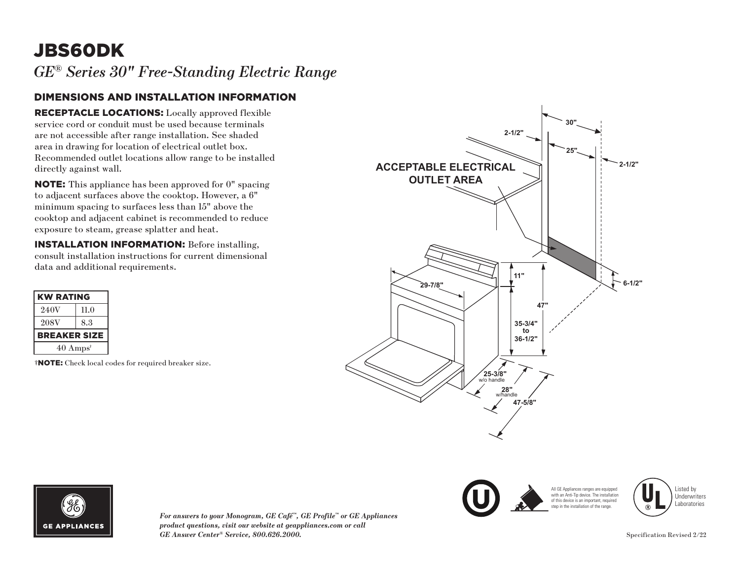## JBS60DK

*GE® Series 30" Free-Standing Electric Range* 

## DIMENSIONS AND INSTALLATION INFORMATION

RECEPTACLE LOCATIONS: Locally approved flexible service cord or conduit must be used because terminals are not accessible after range installation. See shaded area in drawing for location of electrical outlet box. Recommended outlet locations allow range to be installed directly against wall.

NOTE: This appliance has been approved for 0" spacing to adjacent surfaces above the cooktop. However, a 6" minimum spacing to surfaces less than 15" above the cooktop and adjacent cabinet is recommended to reduce exposure to steam, grease splatter and heat.

INSTALLATION INFORMATION: Before installing, consult installation instructions for current dimensional data and additional requirements.

| <b>KW RATING</b>            |      |
|-----------------------------|------|
| 240V                        | 11.0 |
| 208V                        | 8.3  |
| <b>BREAKER SIZE</b>         |      |
| $40 \text{ Amps}^{\dagger}$ |      |
|                             |      |

†NOTE: Check local codes for required breaker size.







*For answers to your Monogram, GE Café™, GE Profile™ or GE Appliances product questions, visit our website at geappliances.com or call GE Answer Center® Service, 800.626.2000.* Specification Revised 2/22

Listed by Underwriters Laboratories